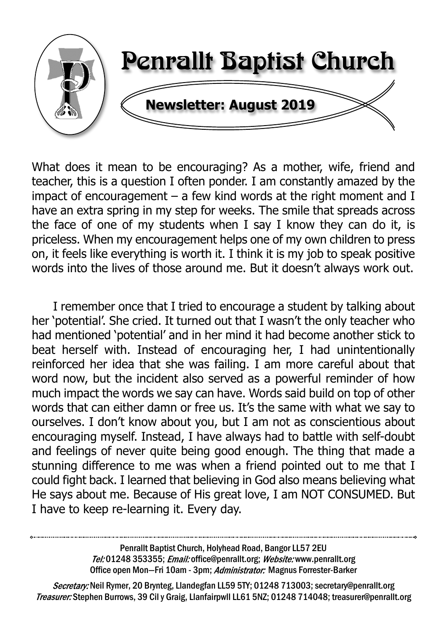

What does it mean to be encouraging? As a mother, wife, friend and teacher, this is a question I often ponder. I am constantly amazed by the impact of encouragement  $-$  a few kind words at the right moment and I have an extra spring in my step for weeks. The smile that spreads across the face of one of my students when I say I know they can do it, is priceless. When my encouragement helps one of my own children to press on, it feels like everything is worth it. I think it is my job to speak positive words into the lives of those around me. But it doesn't always work out.

 I remember once that I tried to encourage a student by talking about her 'potential'. She cried. It turned out that I wasn't the only teacher who had mentioned 'potential' and in her mind it had become another stick to beat herself with. Instead of encouraging her, I had unintentionally reinforced her idea that she was failing. I am more careful about that word now, but the incident also served as a powerful reminder of how much impact the words we say can have. Words said build on top of other words that can either damn or free us. It's the same with what we say to ourselves. I don't know about you, but I am not as conscientious about encouraging myself. Instead, I have always had to battle with self-doubt and feelings of never quite being good enough. The thing that made a stunning difference to me was when a friend pointed out to me that I could fight back. I learned that believing in God also means believing what He says about me. Because of His great love, I am NOT CONSUMED. But I have to keep re-learning it. Every day.

> Penrallt Baptist Church, Holyhead Road, Bangor LL57 2EU Tel:01248 353355; Email: office@penrallt.org; Website: www.penrallt.org Office open Mon-Fri 10am - 3pm; Administrator: Magnus Forrester-Barker

Secretary: Neil Rymer, 20 Brynteg, Llandegfan LL59 5TY; 01248 713003; secretary@penrallt.org Treasurer: Stephen Burrows, 39 Cil y Graig, Llanfairpwll LL61 5NZ; 01248 714048; treasurer@penrallt.org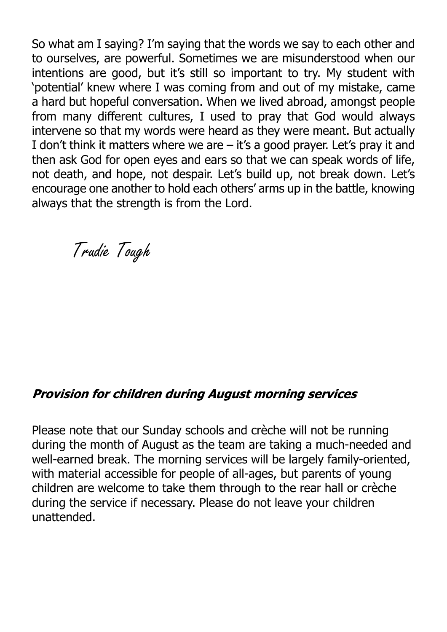So what am I saying? I'm saying that the words we say to each other and to ourselves, are powerful. Sometimes we are misunderstood when our intentions are good, but it's still so important to try. My student with 'potential' knew where I was coming from and out of my mistake, came a hard but hopeful conversation. When we lived abroad, amongst people from many different cultures, I used to pray that God would always intervene so that my words were heard as they were meant. But actually I don't think it matters where we are – it's a good prayer. Let's pray it and then ask God for open eyes and ears so that we can speak words of life, not death, and hope, not despair. Let's build up, not break down. Let's encourage one another to hold each others' arms up in the battle, knowing always that the strength is from the Lord.

Trudie Tough

#### **Provision for children during August morning services**

Please note that our Sunday schools and crèche will not be running during the month of August as the team are taking a much-needed and well-earned break. The morning services will be largely family-oriented, with material accessible for people of all-ages, but parents of young children are welcome to take them through to the rear hall or crèche during the service if necessary. Please do not leave your children unattended.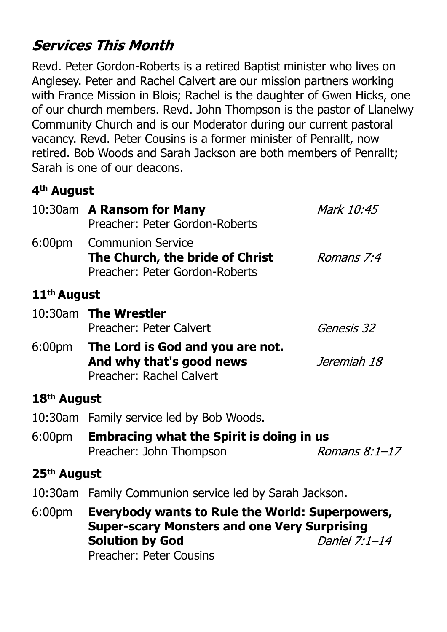# **Services This Month**

Revd. Peter Gordon-Roberts is a retired Baptist minister who lives on Anglesey. Peter and Rachel Calvert are our mission partners working with France Mission in Blois; Rachel is the daughter of Gwen Hicks, one of our church members. Revd. John Thompson is the pastor of Llanelwy Community Church and is our Moderator during our current pastoral vacancy. Revd. Peter Cousins is a former minister of Penrallt, now retired. Bob Woods and Sarah Jackson are both members of Penrallt; Sarah is one of our deacons.

# **4th August**

|                         | 10:30am A Ransom for Many<br>Preacher: Peter Gordon-Roberts                                     | Mark 10:45  |  |
|-------------------------|-------------------------------------------------------------------------------------------------|-------------|--|
| 6:00 <sub>pm</sub>      | <b>Communion Service</b><br>The Church, the bride of Christ<br>Preacher: Peter Gordon-Roberts   | Romans 7:4  |  |
| 11 <sup>th</sup> August |                                                                                                 |             |  |
|                         | 10:30am The Wrestler<br>Preacher: Peter Calvert                                                 | Genesis 32  |  |
|                         | 6:00pm The Lord is God and you are not.<br>And why that's good news<br>Preacher: Rachel Calvert | Jeremiah 18 |  |
| 18 <sup>th</sup> August |                                                                                                 |             |  |
|                         | 10:30am Family service led by Bob Woods.                                                        |             |  |
| 6:00pm                  | <b>Embracing what the Spirit is doing in us</b><br>Romans 8:1-17<br>Preacher: John Thompson     |             |  |
| 25 <sup>th</sup> August |                                                                                                 |             |  |
|                         | 10:30am Family Communion service led by Sarah Jackson.                                          |             |  |
| 6:00 <sub>pm</sub>      | Everybody wants to Rule the World: Superpowers,<br>Sungr-scary Monsters and one Very Surnrising |             |  |

**Super-scary Monsters and one Very Surprising Solution by God** Daniel 7:1-14 Preacher: Peter Cousins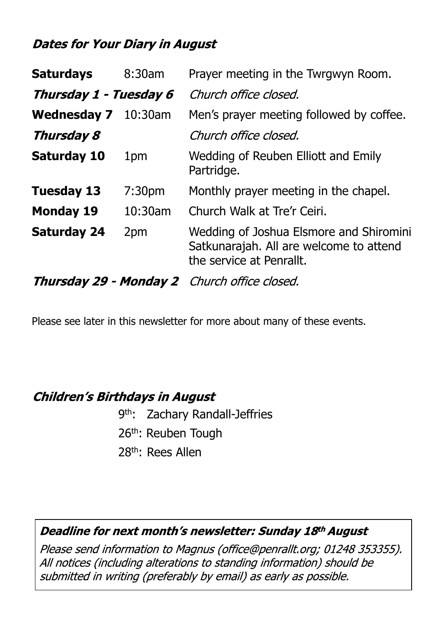# **Dates for Your Diary in August**

| <b>Saturdays</b>                             | 8:30am             | Prayer meeting in the Twrgwyn Room.                                                                            |
|----------------------------------------------|--------------------|----------------------------------------------------------------------------------------------------------------|
| Thursday 1 - Tuesday 6                       |                    | Church office closed.                                                                                          |
| <b>Wednesday 7</b>                           | $10:30$ am         | Men's prayer meeting followed by coffee.                                                                       |
| Thursday 8                                   |                    | Church office closed.                                                                                          |
| <b>Saturday 10</b>                           | 1 <sub>pm</sub>    | Wedding of Reuben Elliott and Emily<br>Partridge.                                                              |
| <b>Tuesday 13</b>                            | 7:30 <sub>pm</sub> | Monthly prayer meeting in the chapel.                                                                          |
| <b>Monday 19</b>                             | 10:30am            | Church Walk at Tre'r Ceiri.                                                                                    |
| <b>Saturday 24</b>                           | 2pm                | Wedding of Joshua Elsmore and Shiromini<br>Satkunarajah. All are welcome to attend<br>the service at Penrallt. |
| Thursday 29 - Monday 2 Church office closed. |                    |                                                                                                                |

Please see later in this newsletter for more about many of these events.

## **Children's Birthdays in August**

 9th: Zachary Randall-Jeffries 26<sup>th</sup>: Reuben Tough 28th: Rees Allen

#### Deadline for next month's newsletter: Sunday 18th August

Please send information to Magnus (office@penrallt.org; 01248 353355). All notices (including alterations to standing information) should be submitted in writing (preferably by email) as early as possible.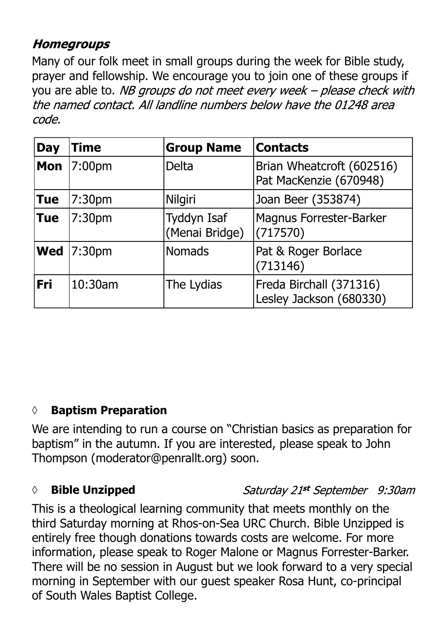# **Homegroups**

Many of our folk meet in small groups during the week for Bible study, prayer and fellowship. We encourage you to join one of these groups if you are able to. NB groups do not meet every week - please check with the named contact. All landline numbers below have the 01248 area code.

| <b>Day</b> | Time    | <b>Group Name</b>                    | <b>Contacts</b>                                     |
|------------|---------|--------------------------------------|-----------------------------------------------------|
| <b>Mon</b> | 7:00pm  | <b>Delta</b>                         | Brian Wheatcroft (602516)<br>Pat MacKenzie (670948) |
| <b>Tue</b> | 7:30pm  | <b>Nilgiri</b>                       | Joan Beer (353874)                                  |
| <b>Tue</b> | 7:30pm  | <b>Tyddyn Isaf</b><br>(Menai Bridge) | Magnus Forrester-Barker<br>(717570)                 |
| Wed        | 7:30pm  | <b>Nomads</b>                        | Pat & Roger Borlace<br>(713146)                     |
| Fri        | 10:30am | The Lydias                           | Freda Birchall (371316)<br>Lesley Jackson (680330)  |

# **◊ Baptism Preparation**

We are intending to run a course on "Christian basics as preparation for baptism" in the autumn. If you are interested, please speak to John Thompson (moderator@penrallt.org) soon.

## *◊* **Bible Unzipped**

## Saturday 21st September 9:30am

This is a theological learning community that meets monthly on the third Saturday morning at Rhos-on-Sea URC Church. Bible Unzipped is entirely free though donations towards costs are welcome. For more information, please speak to Roger Malone or Magnus Forrester-Barker. There will be no session in August but we look forward to a very special morning in September with our guest speaker Rosa Hunt, co-principal of South Wales Baptist College.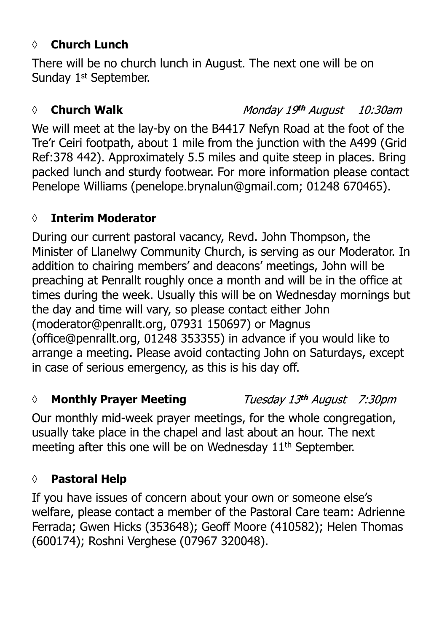## *◊* **Church Lunch**

There will be no church lunch in August. The next one will be on Sunday 1<sup>st</sup> September.

#### *◊* **Church Walk**

Monday 19th August 10:30am

We will meet at the lay-by on the B4417 Nefyn Road at the foot of the Tre'r Ceiri footpath, about 1 mile from the junction with the A499 (Grid Ref:378 442). Approximately 5.5 miles and quite steep in places. Bring packed lunch and sturdy footwear. For more information please contact Penelope Williams (penelope.brynalun@gmail.com; 01248 670465).

## **◊ Interim Moderator**

During our current pastoral vacancy, Revd. John Thompson, the Minister of Llanelwy Community Church, is serving as our Moderator. In addition to chairing members' and deacons' meetings, John will be preaching at Penrallt roughly once a month and will be in the office at times during the week. Usually this will be on Wednesday mornings but the day and time will vary, so please contact either John (moderator@penrallt.org, 07931 150697) or Magnus (office@penrallt.org, 01248 353355) in advance if you would like to arrange a meeting. Please avoid contacting John on Saturdays, except in case of serious emergency, as this is his day off.

## *◊* **Monthly Prayer Meeting**

Tuesday 13th August 7:30pm

Our monthly mid-week prayer meetings, for the whole congregation, usually take place in the chapel and last about an hour. The next meeting after this one will be on Wednesday 11<sup>th</sup> September.

# **◊ Pastoral Help**

If you have issues of concern about your own or someone else's welfare, please contact a member of the Pastoral Care team: Adrienne Ferrada; Gwen Hicks (353648); Geoff Moore (410582); Helen Thomas (600174); Roshni Verghese (07967 320048).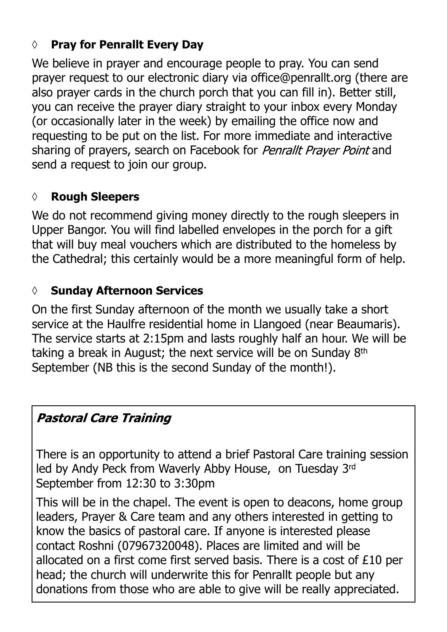# **◊ Pray for Penrallt Every Day**

We believe in prayer and encourage people to pray. You can send prayer request to our electronic diary via office@penrallt.org (there are also prayer cards in the church porch that you can fill in). Better still, you can receive the prayer diary straight to your inbox every Monday (or occasionally later in the week) by emailing the office now and requesting to be put on the list. For more immediate and interactive sharing of prayers, search on Facebook for *Penrallt Prayer Point* and send a request to join our group.

### **◊ Rough Sleepers**

We do not recommend giving money directly to the rough sleepers in Upper Bangor. You will find labelled envelopes in the porch for a gift that will buy meal vouchers which are distributed to the homeless by the Cathedral; this certainly would be a more meaningful form of help.

### *◊* **Sunday Afternoon Services**

On the first Sunday afternoon of the month we usually take a short service at the Haulfre residential home in Llangoed (near Beaumaris). The service starts at 2:15pm and lasts roughly half an hour. We will be taking a break in August; the next service will be on Sunday 8th September (NB this is the second Sunday of the month!).

## **Pastoral Care Training**

There is an opportunity to attend a brief Pastoral Care training session led by Andy Peck from Waverly Abby House, on Tuesday 3rd September from 12:30 to 3:30pm

This will be in the chapel. The event is open to deacons, home group leaders, Prayer & Care team and any others interested in getting to know the basics of pastoral care. If anyone is interested please contact Roshni (07967320048). Places are limited and will be allocated on a first come first served basis. There is a cost of £10 per head; the church will underwrite this for Penrallt people but any donations from those who are able to give will be really appreciated.